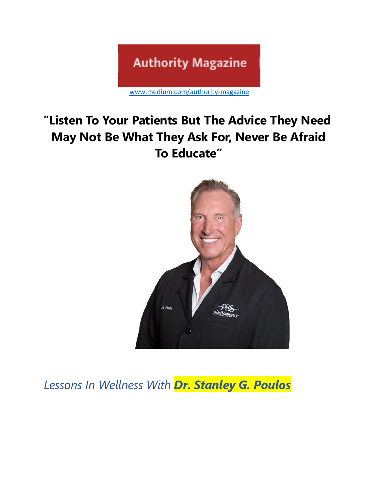# **Authority Magazine**

[www.medium.com/authority-magazine](http://www.medium.com/authority-magazine)

# **"Listen To Your Patients But The Advice They Need May Not Be What They Ask For, Never Be Afraid To Educate"**



*Lessons In Wellness With Dr. Stanley G. Poulos*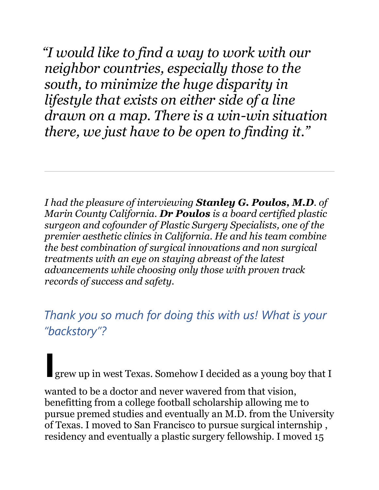*"I would like to find a way to work with our neighbor countries, especially those to the south, to minimize the huge disparity in lifestyle that exists on either side of a line drawn on a map. There is a win-win situation there, we just have to be open to finding it."*

*I had the pleasure of interviewing Stanley G. Poulos, M.D. of Marin County California. Dr Poulos is a board certified plastic surgeon and cofounder of Plastic Surgery Specialists, one of the premier aesthetic clinics in California. He and his team combine the best combination of surgical innovations and non surgical treatments with an eye on staying abreast of the latest advancements while choosing only those with proven track records of success and safety.*

*Thank you so much for doing this with us! What is your "backstory"?*

**I**grew up in west Texas. Somehow I decided as a young boy that I

wanted to be a doctor and never wavered from that vision, benefitting from a college football scholarship allowing me to pursue premed studies and eventually an M.D. from the University of Texas. I moved to San Francisco to pursue surgical internship , residency and eventually a plastic surgery fellowship. I moved 15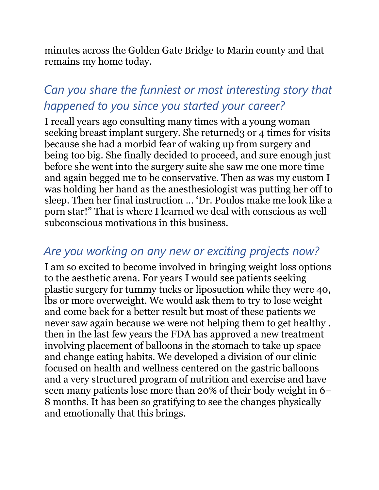minutes across the Golden Gate Bridge to Marin county and that remains my home today.

## *Can you share the funniest or most interesting story that happened to you since you started your career?*

I recall years ago consulting many times with a young woman seeking breast implant surgery. She returned 3 or 4 times for visits because she had a morbid fear of waking up from surgery and being too big. She finally decided to proceed, and sure enough just before she went into the surgery suite she saw me one more time and again begged me to be conservative. Then as was my custom I was holding her hand as the anesthesiologist was putting her off to sleep. Then her final instruction … 'Dr. Poulos make me look like a porn star!" That is where I learned we deal with conscious as well subconscious motivations in this business.

#### *Are you working on any new or exciting projects now?*

I am so excited to become involved in bringing weight loss options to the aesthetic arena. For years I would see patients seeking plastic surgery for tummy tucks or liposuction while they were 40, lbs or more overweight. We would ask them to try to lose weight and come back for a better result but most of these patients we never saw again because we were not helping them to get healthy . then in the last few years the FDA has approved a new treatment involving placement of balloons in the stomach to take up space and change eating habits. We developed a division of our clinic focused on health and wellness centered on the gastric balloons and a very structured program of nutrition and exercise and have seen many patients lose more than 20% of their body weight in 6– 8 months. It has been so gratifying to see the changes physically and emotionally that this brings.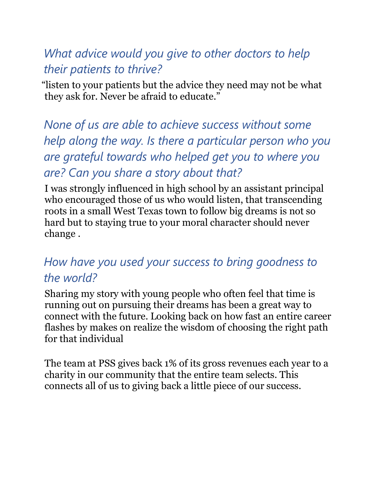#### *What advice would you give to other doctors to help their patients to thrive?*

"listen to your patients but the advice they need may not be what they ask for. Never be afraid to educate."

*None of us are able to achieve success without some help along the way. Is there a particular person who you are grateful towards who helped get you to where you are? Can you share a story about that?*

I was strongly influenced in high school by an assistant principal who encouraged those of us who would listen, that transcending roots in a small West Texas town to follow big dreams is not so hard but to staying true to your moral character should never change .

### *How have you used your success to bring goodness to the world?*

Sharing my story with young people who often feel that time is running out on pursuing their dreams has been a great way to connect with the future. Looking back on how fast an entire career flashes by makes on realize the wisdom of choosing the right path for that individual

The team at PSS gives back 1% of its gross revenues each year to a charity in our community that the entire team selects. This connects all of us to giving back a little piece of our success.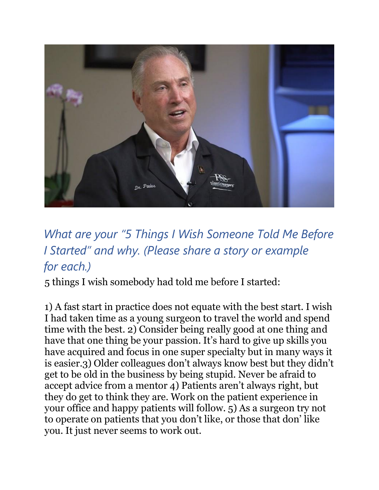

# *What are your "5 Things I Wish Someone Told Me Before I Started" and why. (Please share a story or example for each.)*

5 things I wish somebody had told me before I started:

1) A fast start in practice does not equate with the best start. I wish I had taken time as a young surgeon to travel the world and spend time with the best. 2) Consider being really good at one thing and have that one thing be your passion. It's hard to give up skills you have acquired and focus in one super specialty but in many ways it is easier.3) Older colleagues don't always know best but they didn't get to be old in the business by being stupid. Never be afraid to accept advice from a mentor 4) Patients aren't always right, but they do get to think they are. Work on the patient experience in your office and happy patients will follow. 5) As a surgeon try not to operate on patients that you don't like, or those that don' like you. It just never seems to work out.